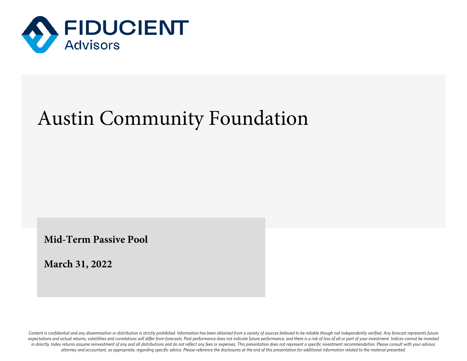

## Austin Community Foundation

**Mid-Term Passive Pool**

**March 31, 2022**

Content is confidential and any dissemination or distribution is strictly prohibited. Information has been obtained from a variety of sources believed to be reliable though not independently verified. Any forecast represen expectations and actual returns, volatilities and correlations will differ from forecasts. Past performance does not indicate future performance, and there is a risk of loss of all or part of your investment. Indices canno in directly. Index returns assume reinvestment of any and all distributions and do not reflect any fees or expenses. This presentation does not represent a specific investment recommendation. Please consult with your advis *attorney and accountant, as appropriate, regarding specific advice. Please reference the disclosures at the end of this presentation for additional information related to the material presented.*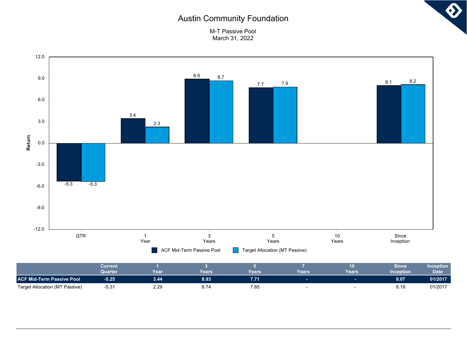## Austin Community Foundation



M-T Passive Pool March 31, 2022